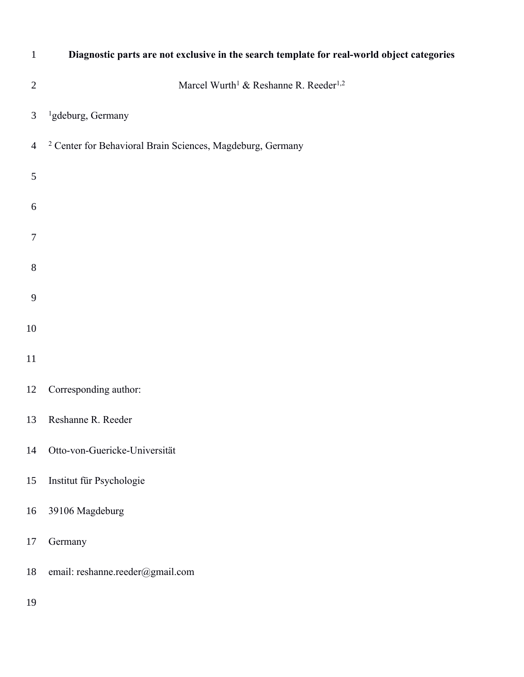| $\mathbf{1}$   | Diagnostic parts are not exclusive in the search template for real-world object categories |
|----------------|--------------------------------------------------------------------------------------------|
| $\overline{2}$ | Marcel Wurth <sup>1</sup> & Reshanne R. Reeder <sup>1,2</sup>                              |
| 3              | <sup>1</sup> gdeburg, Germany                                                              |
| $\overline{4}$ | <sup>2</sup> Center for Behavioral Brain Sciences, Magdeburg, Germany                      |
| 5              |                                                                                            |
| 6              |                                                                                            |
| 7              |                                                                                            |
| $\, 8$         |                                                                                            |
| $\overline{9}$ |                                                                                            |
| 10             |                                                                                            |
| 11             |                                                                                            |
| 12             | Corresponding author:                                                                      |
| 13             | Reshanne R. Reeder                                                                         |
| 14             | Otto-von-Guericke-Universität                                                              |
| 15             | Institut für Psychologie                                                                   |
| 16             | 39106 Magdeburg                                                                            |
| 17             | Germany                                                                                    |
| 18             | email: reshanne.reeder@gmail.com                                                           |
| 19             |                                                                                            |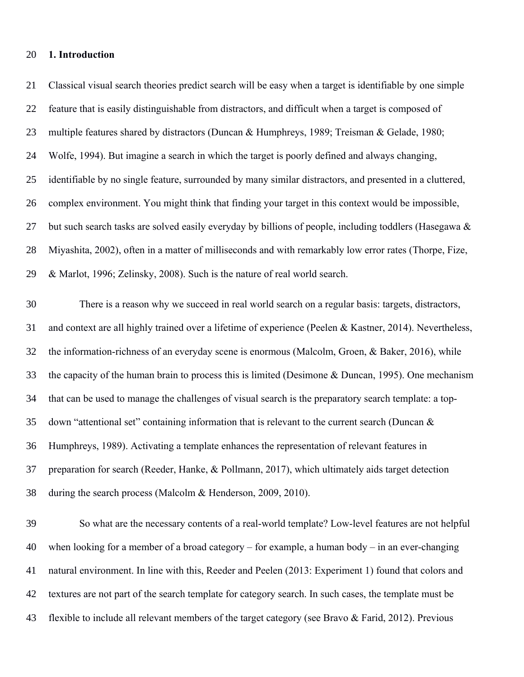#### **1. Introduction**

 Classical visual search theories predict search will be easy when a target is identifiable by one simple feature that is easily distinguishable from distractors, and difficult when a target is composed of multiple features shared by distractors (Duncan & Humphreys, 1989; Treisman & Gelade, 1980; Wolfe, 1994). But imagine a search in which the target is poorly defined and always changing, identifiable by no single feature, surrounded by many similar distractors, and presented in a cluttered, complex environment. You might think that finding your target in this context would be impossible, 27 but such search tasks are solved easily everyday by billions of people, including toddlers (Hasegawa  $\&$  Miyashita, 2002), often in a matter of milliseconds and with remarkably low error rates (Thorpe, Fize, & Marlot, 1996; Zelinsky, 2008). Such is the nature of real world search.

 There is a reason why we succeed in real world search on a regular basis: targets, distractors, and context are all highly trained over a lifetime of experience (Peelen & Kastner, 2014). Nevertheless, the information-richness of an everyday scene is enormous (Malcolm, Groen, & Baker, 2016), while the capacity of the human brain to process this is limited (Desimone & Duncan, 1995). One mechanism that can be used to manage the challenges of visual search is the preparatory search template: a top-35 down "attentional set" containing information that is relevant to the current search (Duncan  $\&$  Humphreys, 1989). Activating a template enhances the representation of relevant features in preparation for search (Reeder, Hanke, & Pollmann, 2017), which ultimately aids target detection during the search process (Malcolm & Henderson, 2009, 2010).

 So what are the necessary contents of a real-world template? Low-level features are not helpful when looking for a member of a broad category – for example, a human body – in an ever-changing natural environment. In line with this, Reeder and Peelen (2013: Experiment 1) found that colors and textures are not part of the search template for category search. In such cases, the template must be flexible to include all relevant members of the target category (see Bravo & Farid, 2012). Previous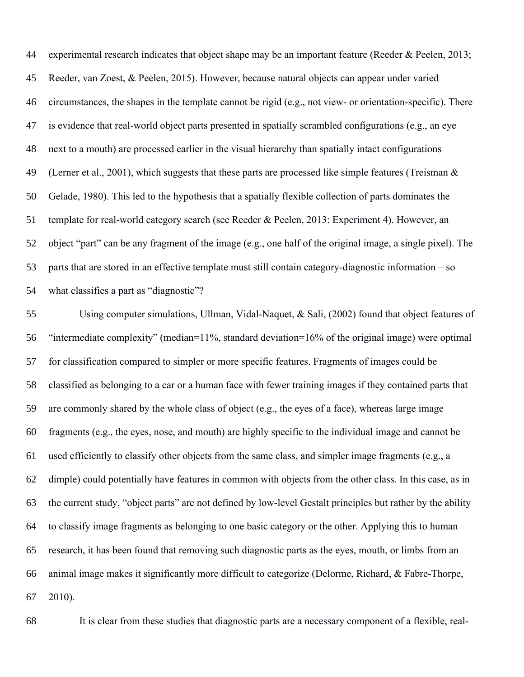experimental research indicates that object shape may be an important feature (Reeder & Peelen, 2013; Reeder, van Zoest, & Peelen, 2015). However, because natural objects can appear under varied circumstances, the shapes in the template cannot be rigid (e.g., not view- or orientation-specific). There is evidence that real-world object parts presented in spatially scrambled configurations (e.g., an eye next to a mouth) are processed earlier in the visual hierarchy than spatially intact configurations 49 (Lerner et al., 2001), which suggests that these parts are processed like simple features (Treisman  $\&$  Gelade, 1980). This led to the hypothesis that a spatially flexible collection of parts dominates the template for real-world category search (see Reeder & Peelen, 2013: Experiment 4). However, an object "part" can be any fragment of the image (e.g., one half of the original image, a single pixel). The parts that are stored in an effective template must still contain category-diagnostic information – so what classifies a part as "diagnostic"?

 Using computer simulations, Ullman, Vidal-Naquet, & Sali, (2002) found that object features of "intermediate complexity" (median=11%, standard deviation=16% of the original image) were optimal for classification compared to simpler or more specific features. Fragments of images could be classified as belonging to a car or a human face with fewer training images if they contained parts that are commonly shared by the whole class of object (e.g., the eyes of a face), whereas large image fragments (e.g., the eyes, nose, and mouth) are highly specific to the individual image and cannot be used efficiently to classify other objects from the same class, and simpler image fragments (e.g., a dimple) could potentially have features in common with objects from the other class. In this case, as in the current study, "object parts" are not defined by low-level Gestalt principles but rather by the ability to classify image fragments as belonging to one basic category or the other. Applying this to human research, it has been found that removing such diagnostic parts as the eyes, mouth, or limbs from an animal image makes it significantly more difficult to categorize (Delorme, Richard, & Fabre-Thorpe, 2010).

It is clear from these studies that diagnostic parts are a necessary component of a flexible, real-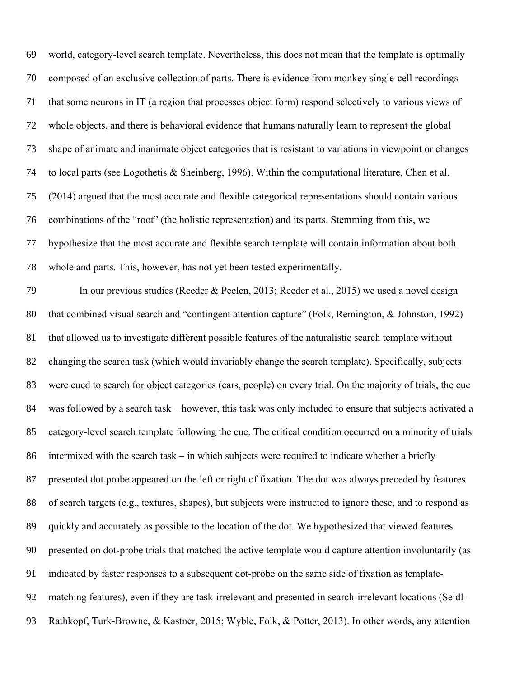world, category-level search template. Nevertheless, this does not mean that the template is optimally composed of an exclusive collection of parts. There is evidence from monkey single-cell recordings that some neurons in IT (a region that processes object form) respond selectively to various views of whole objects, and there is behavioral evidence that humans naturally learn to represent the global shape of animate and inanimate object categories that is resistant to variations in viewpoint or changes to local parts (see Logothetis & Sheinberg, 1996). Within the computational literature, Chen et al. (2014) argued that the most accurate and flexible categorical representations should contain various combinations of the "root" (the holistic representation) and its parts. Stemming from this, we hypothesize that the most accurate and flexible search template will contain information about both whole and parts. This, however, has not yet been tested experimentally.

 In our previous studies (Reeder & Peelen, 2013; Reeder et al., 2015) we used a novel design 80 that combined visual search and "contingent attention capture" (Folk, Remington, & Johnston, 1992) that allowed us to investigate different possible features of the naturalistic search template without changing the search task (which would invariably change the search template). Specifically, subjects were cued to search for object categories (cars, people) on every trial. On the majority of trials, the cue was followed by a search task – however, this task was only included to ensure that subjects activated a category-level search template following the cue. The critical condition occurred on a minority of trials intermixed with the search task – in which subjects were required to indicate whether a briefly presented dot probe appeared on the left or right of fixation. The dot was always preceded by features of search targets (e.g., textures, shapes), but subjects were instructed to ignore these, and to respond as quickly and accurately as possible to the location of the dot. We hypothesized that viewed features presented on dot-probe trials that matched the active template would capture attention involuntarily (as indicated by faster responses to a subsequent dot-probe on the same side of fixation as template- matching features), even if they are task-irrelevant and presented in search-irrelevant locations (Seidl-Rathkopf, Turk-Browne, & Kastner, 2015; Wyble, Folk, & Potter, 2013). In other words, any attention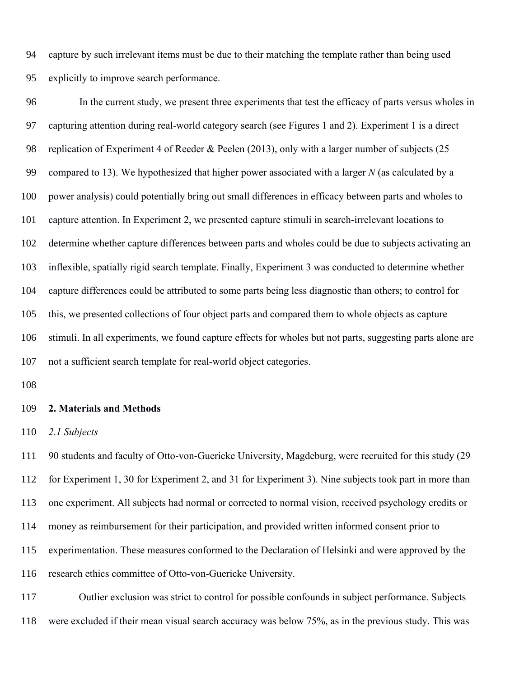capture by such irrelevant items must be due to their matching the template rather than being used explicitly to improve search performance.

 In the current study, we present three experiments that test the efficacy of parts versus wholes in capturing attention during real-world category search (see Figures 1 and 2). Experiment 1 is a direct replication of Experiment 4 of Reeder & Peelen (2013), only with a larger number of subjects (25 compared to 13). We hypothesized that higher power associated with a larger *N* (as calculated by a power analysis) could potentially bring out small differences in efficacy between parts and wholes to capture attention. In Experiment 2, we presented capture stimuli in search-irrelevant locations to determine whether capture differences between parts and wholes could be due to subjects activating an inflexible, spatially rigid search template. Finally, Experiment 3 was conducted to determine whether capture differences could be attributed to some parts being less diagnostic than others; to control for this, we presented collections of four object parts and compared them to whole objects as capture stimuli. In all experiments, we found capture effects for wholes but not parts, suggesting parts alone are not a sufficient search template for real-world object categories.

#### **2. Materials and Methods**

*2.1 Subjects*

 90 students and faculty of Otto-von-Guericke University, Magdeburg, were recruited for this study (29 for Experiment 1, 30 for Experiment 2, and 31 for Experiment 3). Nine subjects took part in more than one experiment. All subjects had normal or corrected to normal vision, received psychology credits or money as reimbursement for their participation, and provided written informed consent prior to experimentation. These measures conformed to the Declaration of Helsinki and were approved by the research ethics committee of Otto-von-Guericke University.

 Outlier exclusion was strict to control for possible confounds in subject performance. Subjects were excluded if their mean visual search accuracy was below 75%, as in the previous study. This was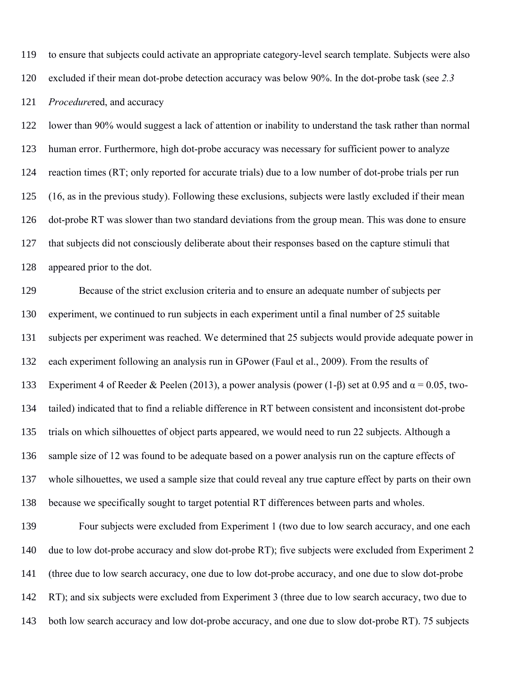to ensure that subjects could activate an appropriate category-level search template. Subjects were also

excluded if their mean dot-probe detection accuracy was below 90%. In the dot-probe task (see *2.3* 

*Procedure*red, and accuracy

 lower than 90% would suggest a lack of attention or inability to understand the task rather than normal human error. Furthermore, high dot-probe accuracy was necessary for sufficient power to analyze reaction times (RT; only reported for accurate trials) due to a low number of dot-probe trials per run (16, as in the previous study). Following these exclusions, subjects were lastly excluded if their mean dot-probe RT was slower than two standard deviations from the group mean. This was done to ensure that subjects did not consciously deliberate about their responses based on the capture stimuli that appeared prior to the dot.

 Because of the strict exclusion criteria and to ensure an adequate number of subjects per experiment, we continued to run subjects in each experiment until a final number of 25 suitable subjects per experiment was reached. We determined that 25 subjects would provide adequate power in each experiment following an analysis run in GPower (Faul et al., 2009). From the results of 133 Experiment 4 of Reeder & Peelen (2013), a power analysis (power (1-β) set at 0.95 and  $\alpha$  = 0.05, two- tailed) indicated that to find a reliable difference in RT between consistent and inconsistent dot-probe trials on which silhouettes of object parts appeared, we would need to run 22 subjects. Although a sample size of 12 was found to be adequate based on a power analysis run on the capture effects of whole silhouettes, we used a sample size that could reveal any true capture effect by parts on their own because we specifically sought to target potential RT differences between parts and wholes.

 Four subjects were excluded from Experiment 1 (two due to low search accuracy, and one each due to low dot-probe accuracy and slow dot-probe RT); five subjects were excluded from Experiment 2 (three due to low search accuracy, one due to low dot-probe accuracy, and one due to slow dot-probe RT); and six subjects were excluded from Experiment 3 (three due to low search accuracy, two due to both low search accuracy and low dot-probe accuracy, and one due to slow dot-probe RT). 75 subjects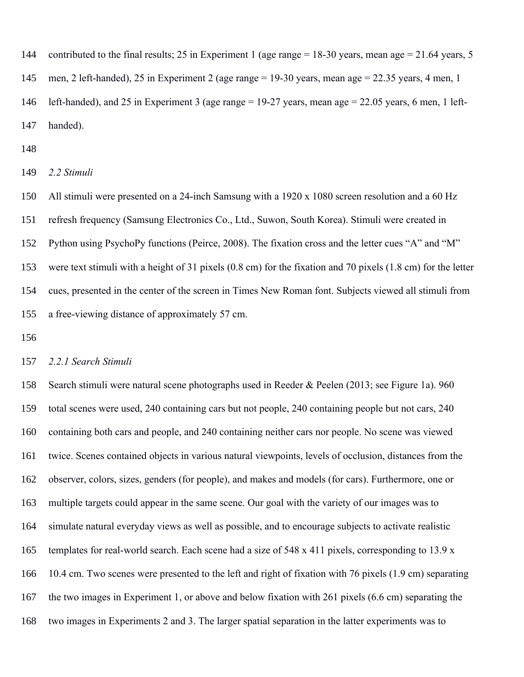contributed to the final results; 25 in Experiment 1 (age range = 18-30 years, mean age = 21.64 years, 5

men, 2 left-handed), 25 in Experiment 2 (age range = 19-30 years, mean age = 22.35 years, 4 men, 1

 left-handed), and 25 in Experiment 3 (age range = 19-27 years, mean age = 22.05 years, 6 men, 1 left-handed).

*2.2 Stimuli*

 All stimuli were presented on a 24-inch Samsung with a 1920 x 1080 screen resolution and a 60 Hz refresh frequency (Samsung Electronics Co., Ltd., Suwon, South Korea). Stimuli were created in Python using PsychoPy functions (Peirce, 2008). The fixation cross and the letter cues "A" and "M" were text stimuli with a height of 31 pixels (0.8 cm) for the fixation and 70 pixels (1.8 cm) for the letter cues, presented in the center of the screen in Times New Roman font. Subjects viewed all stimuli from a free-viewing distance of approximately 57 cm.

#### *2.2.1 Search Stimuli*

 Search stimuli were natural scene photographs used in Reeder & Peelen (2013; see Figure 1a). 960 total scenes were used, 240 containing cars but not people, 240 containing people but not cars, 240 containing both cars and people, and 240 containing neither cars nor people. No scene was viewed twice. Scenes contained objects in various natural viewpoints, levels of occlusion, distances from the observer, colors, sizes, genders (for people), and makes and models (for cars). Furthermore, one or multiple targets could appear in the same scene. Our goal with the variety of our images was to simulate natural everyday views as well as possible, and to encourage subjects to activate realistic templates for real-world search. Each scene had a size of 548 x 411 pixels, corresponding to 13.9 x 10.4 cm. Two scenes were presented to the left and right of fixation with 76 pixels (1.9 cm) separating the two images in Experiment 1, or above and below fixation with 261 pixels (6.6 cm) separating the two images in Experiments 2 and 3. The larger spatial separation in the latter experiments was to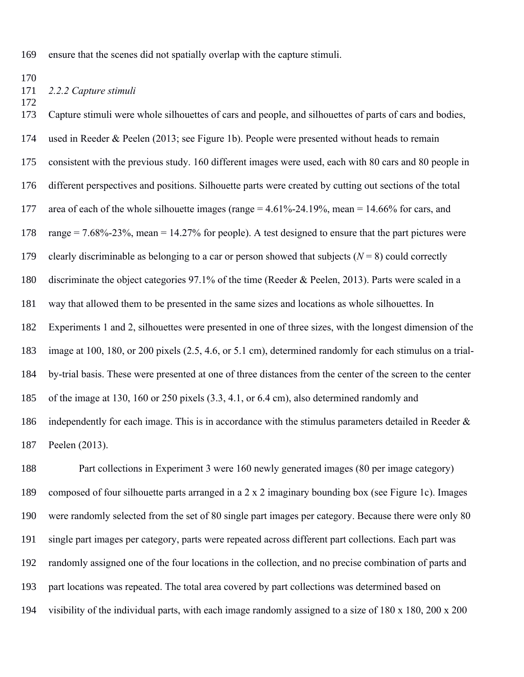ensure that the scenes did not spatially overlap with the capture stimuli.

# *2.2.2 Capture stimuli*

 Capture stimuli were whole silhouettes of cars and people, and silhouettes of parts of cars and bodies, used in Reeder & Peelen (2013; see Figure 1b). People were presented without heads to remain consistent with the previous study. 160 different images were used, each with 80 cars and 80 people in different perspectives and positions. Silhouette parts were created by cutting out sections of the total area of each of the whole silhouette images (range = 4.61%-24.19%, mean = 14.66% for cars, and range = 7.68%-23%, mean = 14.27% for people). A test designed to ensure that the part pictures were 179 clearly discriminable as belonging to a car or person showed that subjects  $(N = 8)$  could correctly discriminate the object categories 97.1% of the time (Reeder & Peelen, 2013). Parts were scaled in a way that allowed them to be presented in the same sizes and locations as whole silhouettes. In Experiments 1 and 2, silhouettes were presented in one of three sizes, with the longest dimension of the image at 100, 180, or 200 pixels (2.5, 4.6, or 5.1 cm), determined randomly for each stimulus on a trial- by-trial basis. These were presented at one of three distances from the center of the screen to the center of the image at 130, 160 or 250 pixels (3.3, 4.1, or 6.4 cm), also determined randomly and 186 independently for each image. This is in accordance with the stimulus parameters detailed in Reeder & Peelen (2013).

 Part collections in Experiment 3 were 160 newly generated images (80 per image category) composed of four silhouette parts arranged in a 2 x 2 imaginary bounding box (see Figure 1c). Images were randomly selected from the set of 80 single part images per category. Because there were only 80 single part images per category, parts were repeated across different part collections. Each part was randomly assigned one of the four locations in the collection, and no precise combination of parts and part locations was repeated. The total area covered by part collections was determined based on visibility of the individual parts, with each image randomly assigned to a size of 180 x 180, 200 x 200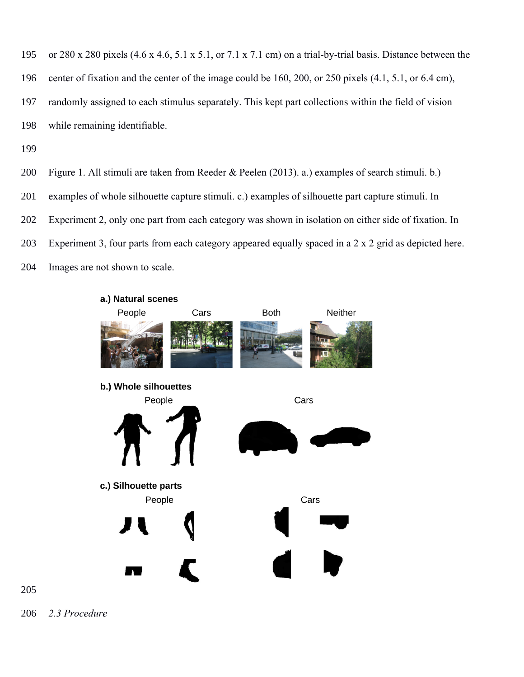or 280 x 280 pixels (4.6 x 4.6, 5.1 x 5.1, or 7.1 x 7.1 cm) on a trial-by-trial basis. Distance between the center of fixation and the center of the image could be 160, 200, or 250 pixels (4.1, 5.1, or 6.4 cm), randomly assigned to each stimulus separately. This kept part collections within the field of vision while remaining identifiable.

- Figure 1. All stimuli are taken from Reeder & Peelen (2013). a.) examples of search stimuli. b.)
- examples of whole silhouette capture stimuli. c.) examples of silhouette part capture stimuli. In
- Experiment 2, only one part from each category was shown in isolation on either side of fixation. In
- Experiment 3, four parts from each category appeared equally spaced in a 2 x 2 grid as depicted here.
- Images are not shown to scale.



*2.3 Procedure*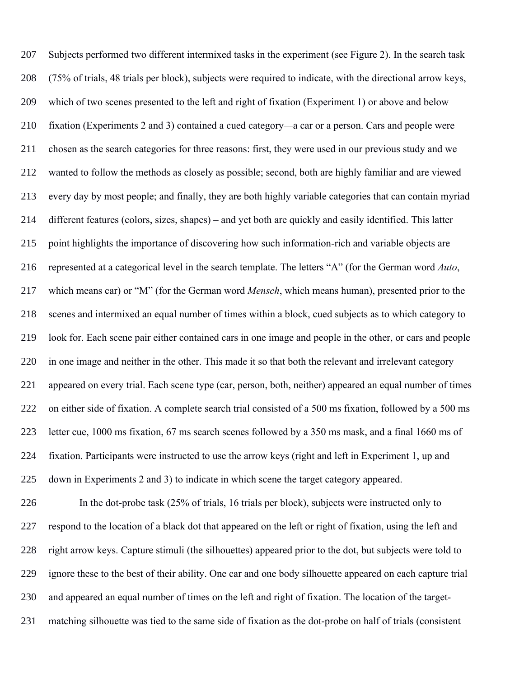Subjects performed two different intermixed tasks in the experiment (see Figure 2). In the search task (75% of trials, 48 trials per block), subjects were required to indicate, with the directional arrow keys, which of two scenes presented to the left and right of fixation (Experiment 1) or above and below fixation (Experiments 2 and 3) contained a cued category*—*a car or a person. Cars and people were chosen as the search categories for three reasons: first, they were used in our previous study and we wanted to follow the methods as closely as possible; second, both are highly familiar and are viewed every day by most people; and finally, they are both highly variable categories that can contain myriad different features (colors, sizes, shapes) – and yet both are quickly and easily identified. This latter point highlights the importance of discovering how such information-rich and variable objects are represented at a categorical level in the search template. The letters "A" (for the German word *Auto*, which means car) or "M" (for the German word *Mensch*, which means human), presented prior to the scenes and intermixed an equal number of times within a block, cued subjects as to which category to look for. Each scene pair either contained cars in one image and people in the other, or cars and people in one image and neither in the other. This made it so that both the relevant and irrelevant category appeared on every trial. Each scene type (car, person, both, neither) appeared an equal number of times on either side of fixation. A complete search trial consisted of a 500 ms fixation, followed by a 500 ms letter cue, 1000 ms fixation, 67 ms search scenes followed by a 350 ms mask, and a final 1660 ms of fixation. Participants were instructed to use the arrow keys (right and left in Experiment 1, up and down in Experiments 2 and 3) to indicate in which scene the target category appeared.

 In the dot-probe task (25% of trials, 16 trials per block), subjects were instructed only to respond to the location of a black dot that appeared on the left or right of fixation, using the left and right arrow keys. Capture stimuli (the silhouettes) appeared prior to the dot, but subjects were told to ignore these to the best of their ability. One car and one body silhouette appeared on each capture trial and appeared an equal number of times on the left and right of fixation. The location of the target-matching silhouette was tied to the same side of fixation as the dot-probe on half of trials (consistent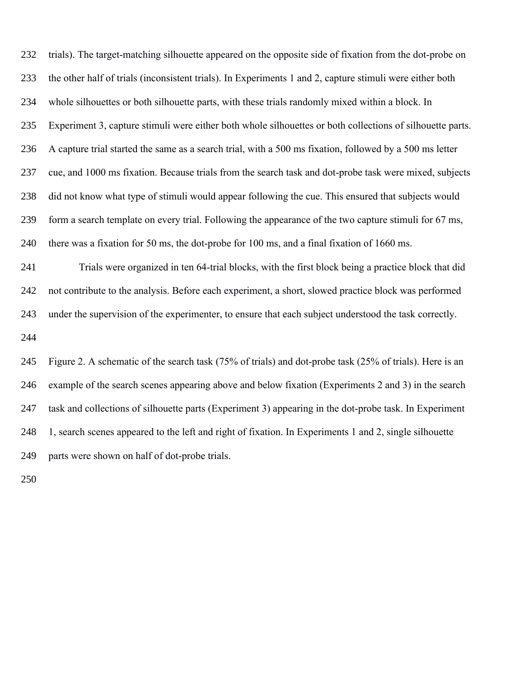trials). The target-matching silhouette appeared on the opposite side of fixation from the dot-probe on the other half of trials (inconsistent trials). In Experiments 1 and 2, capture stimuli were either both whole silhouettes or both silhouette parts, with these trials randomly mixed within a block. In Experiment 3, capture stimuli were either both whole silhouettes or both collections of silhouette parts. A capture trial started the same as a search trial, with a 500 ms fixation, followed by a 500 ms letter cue, and 1000 ms fixation. Because trials from the search task and dot-probe task were mixed, subjects did not know what type of stimuli would appear following the cue. This ensured that subjects would form a search template on every trial. Following the appearance of the two capture stimuli for 67 ms, there was a fixation for 50 ms, the dot-probe for 100 ms, and a final fixation of 1660 ms.

 Trials were organized in ten 64-trial blocks, with the first block being a practice block that did not contribute to the analysis. Before each experiment, a short, slowed practice block was performed under the supervision of the experimenter, to ensure that each subject understood the task correctly.

 Figure 2. A schematic of the search task (75% of trials) and dot-probe task (25% of trials). Here is an example of the search scenes appearing above and below fixation (Experiments 2 and 3) in the search task and collections of silhouette parts (Experiment 3) appearing in the dot-probe task. In Experiment 1, search scenes appeared to the left and right of fixation. In Experiments 1 and 2, single silhouette parts were shown on half of dot-probe trials.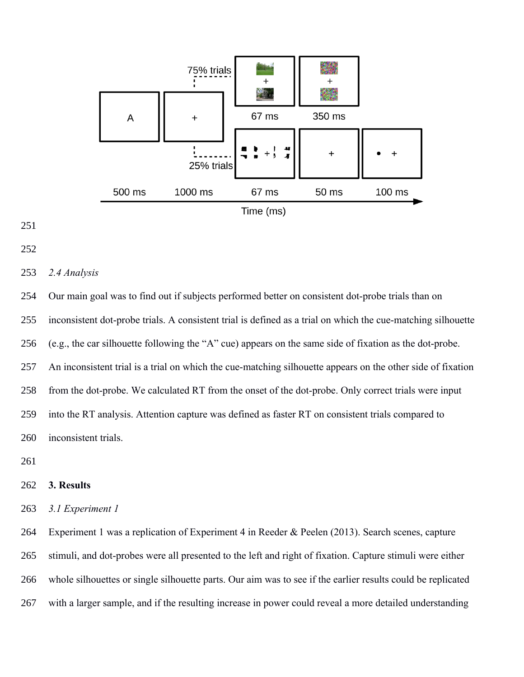



# *2.4 Analysis*

 Our main goal was to find out if subjects performed better on consistent dot-probe trials than on inconsistent dot-probe trials. A consistent trial is defined as a trial on which the cue-matching silhouette (e.g., the car silhouette following the "A" cue) appears on the same side of fixation as the dot-probe. An inconsistent trial is a trial on which the cue-matching silhouette appears on the other side of fixation from the dot-probe. We calculated RT from the onset of the dot-probe. Only correct trials were input into the RT analysis. Attention capture was defined as faster RT on consistent trials compared to inconsistent trials.

# **3. Results**

*3.1 Experiment 1*

 Experiment 1 was a replication of Experiment 4 in Reeder & Peelen (2013). Search scenes, capture stimuli, and dot-probes were all presented to the left and right of fixation. Capture stimuli were either whole silhouettes or single silhouette parts. Our aim was to see if the earlier results could be replicated with a larger sample, and if the resulting increase in power could reveal a more detailed understanding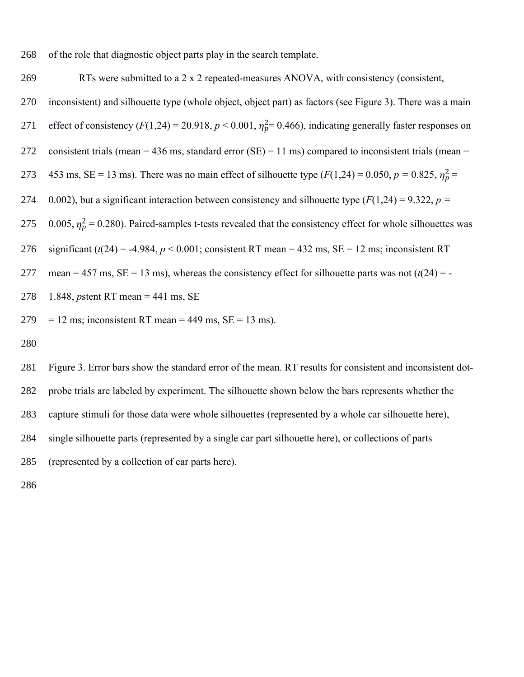268 of the role that diagnostic object parts play in the search template.

269 RTs were submitted to a 2 x 2 repeated-measures ANOVA, with consistency (consistent,

- 270 inconsistent) and silhouette type (whole object, object part) as factors (see Figure 3). There was a main
- 271 effect of consistency  $(F(1,24) = 20.918, p < 0.001, \eta_p^2 = 0.466)$ , indicating generally faster responses on
- 272 consistent trials (mean = 436 ms, standard error  $(SE) = 11$  ms) compared to inconsistent trials (mean =
- 273 453 ms, SE = 13 ms). There was no main effect of silhouette type  $(F(1,24) = 0.050, p = 0.825, \eta_p^2 =$
- 274 0.002), but a significant interaction between consistency and silhouette type  $(F(1,24) = 9.322, p =$

275 0.005,  $\eta_p^2$  = 0.280). Paired-samples t-tests revealed that the consistency effect for whole silhouettes was

276 significant  $(t(24) = -4.984, p < 0.001$ ; consistent RT mean = 432 ms, SE = 12 ms; inconsistent RT

- 277 mean = 457 ms,  $SE = 13$  ms), whereas the consistency effect for silhouette parts was not  $(t(24) = -1)$
- 278 1.848, *p*stent RT mean = 441 ms, SE
- $279 = 12$  ms; inconsistent RT mean = 449 ms, SE = 13 ms).
- 280

 Figure 3. Error bars show the standard error of the mean. RT results for consistent and inconsistent dot- probe trials are labeled by experiment. The silhouette shown below the bars represents whether the capture stimuli for those data were whole silhouettes (represented by a whole car silhouette here), single silhouette parts (represented by a single car part silhouette here), or collections of parts (represented by a collection of car parts here).

286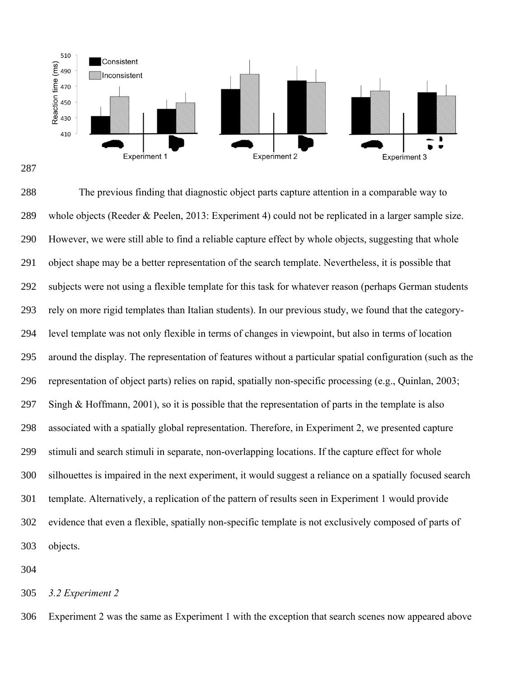

 The previous finding that diagnostic object parts capture attention in a comparable way to whole objects (Reeder & Peelen, 2013: Experiment 4) could not be replicated in a larger sample size. However, we were still able to find a reliable capture effect by whole objects, suggesting that whole object shape may be a better representation of the search template. Nevertheless, it is possible that subjects were not using a flexible template for this task for whatever reason (perhaps German students rely on more rigid templates than Italian students). In our previous study, we found that the category- level template was not only flexible in terms of changes in viewpoint, but also in terms of location around the display. The representation of features without a particular spatial configuration (such as the representation of object parts) relies on rapid, spatially non-specific processing (e.g., Quinlan, 2003; Singh & Hoffmann, 2001), so it is possible that the representation of parts in the template is also associated with a spatially global representation. Therefore, in Experiment 2, we presented capture stimuli and search stimuli in separate, non-overlapping locations. If the capture effect for whole silhouettes is impaired in the next experiment, it would suggest a reliance on a spatially focused search template. Alternatively, a replication of the pattern of results seen in Experiment 1 would provide evidence that even a flexible, spatially non-specific template is not exclusively composed of parts of objects.

*3.2 Experiment 2*

Experiment 2 was the same as Experiment 1 with the exception that search scenes now appeared above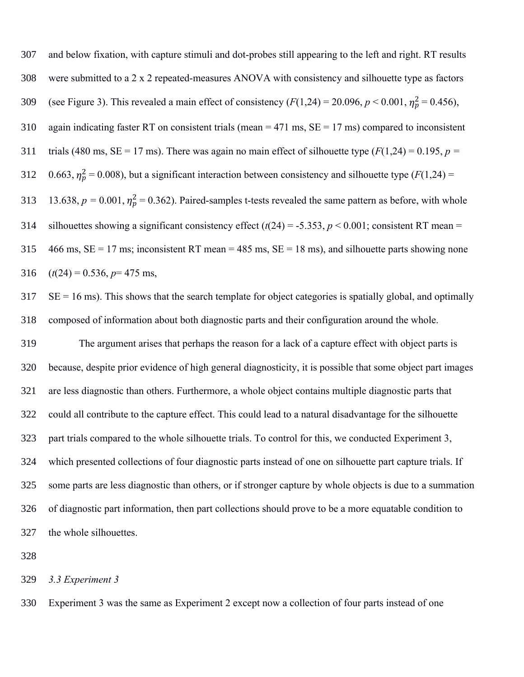and below fixation, with capture stimuli and dot-probes still appearing to the left and right. RT results were submitted to a 2 x 2 repeated-measures ANOVA with consistency and silhouette type as factors 309 (see Figure 3). This revealed a main effect of consistency  $(F(1,24) = 20.096, p < 0.001, \eta_p^2 = 0.456)$ , 310 again indicating faster RT on consistent trials (mean = 471 ms,  $SE = 17$  ms) compared to inconsistent 311 trials (480 ms,  $SE = 17$  ms). There was again no main effect of silhouette type  $(F(1,24) = 0.195, p = 17$ 312 0.663,  $\eta_p^2 = 0.008$ ), but a significant interaction between consistency and silhouette type ( $F(1,24) =$ 313 13.638,  $p = 0.001$ ,  $\eta_p^2 = 0.362$ ). Paired-samples t-tests revealed the same pattern as before, with whole 314 silhouettes showing a significant consistency effect  $(t(24) = -5.353, p < 0.001$ ; consistent RT mean = 466 ms, SE = 17 ms; inconsistent RT mean = 485 ms, SE = 18 ms), and silhouette parts showing none 316  $(t(24) = 0.536, p=475 \text{ ms},$ 

 SE = 16 ms). This shows that the search template for object categories is spatially global, and optimally composed of information about both diagnostic parts and their configuration around the whole.

 The argument arises that perhaps the reason for a lack of a capture effect with object parts is because, despite prior evidence of high general diagnosticity, it is possible that some object part images are less diagnostic than others. Furthermore, a whole object contains multiple diagnostic parts that could all contribute to the capture effect. This could lead to a natural disadvantage for the silhouette part trials compared to the whole silhouette trials. To control for this, we conducted Experiment 3, which presented collections of four diagnostic parts instead of one on silhouette part capture trials. If some parts are less diagnostic than others, or if stronger capture by whole objects is due to a summation of diagnostic part information, then part collections should prove to be a more equatable condition to the whole silhouettes.

# *3.3 Experiment 3*

Experiment 3 was the same as Experiment 2 except now a collection of four parts instead of one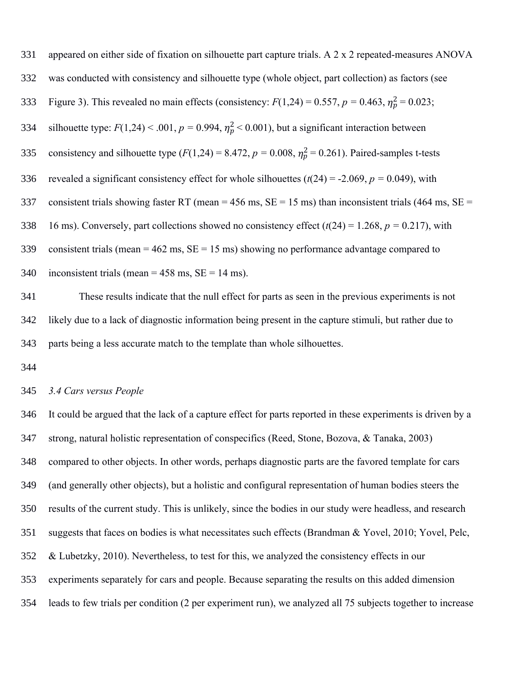| 331 | appeared on either side of fixation on silhouette part capture trials. A 2 x 2 repeated-measures ANOVA           |
|-----|------------------------------------------------------------------------------------------------------------------|
| 332 | was conducted with consistency and silhouette type (whole object, part collection) as factors (see               |
| 333 | Figure 3). This revealed no main effects (consistency: $F(1,24) = 0.557$ , $p = 0.463$ , $\eta_p^2 = 0.023$ ;    |
| 334 | silhouette type: $F(1,24) < .001$ , $p = 0.994$ , $\eta_p^2 < 0.001$ ), but a significant interaction between    |
| 335 | consistency and silhouette type ( $F(1,24) = 8.472$ , $p = 0.008$ , $\eta_p^2 = 0.261$ ). Paired-samples t-tests |
| 336 | revealed a significant consistency effect for whole silhouettes $(t(24) = -2.069, p = 0.049)$ , with             |
| 337 | consistent trials showing faster RT (mean = 456 ms, $SE = 15$ ms) than inconsistent trials (464 ms, $SE =$       |
| 338 | 16 ms). Conversely, part collections showed no consistency effect $(t(24) = 1.268, p = 0.217)$ , with            |
| 339 | consistent trials (mean = $462$ ms, $SE = 15$ ms) showing no performance advantage compared to                   |
| 340 | inconsistent trials (mean = $458$ ms, SE = $14$ ms).                                                             |

 These results indicate that the null effect for parts as seen in the previous experiments is not likely due to a lack of diagnostic information being present in the capture stimuli, but rather due to parts being a less accurate match to the template than whole silhouettes.

### *3.4 Cars versus People*

 It could be argued that the lack of a capture effect for parts reported in these experiments is driven by a strong, natural holistic representation of conspecifics (Reed, Stone, Bozova, & Tanaka, 2003) compared to other objects. In other words, perhaps diagnostic parts are the favored template for cars (and generally other objects), but a holistic and configural representation of human bodies steers the results of the current study. This is unlikely, since the bodies in our study were headless, and research suggests that faces on bodies is what necessitates such effects (Brandman & Yovel, 2010; Yovel, Pelc, & Lubetzky, 2010). Nevertheless, to test for this, we analyzed the consistency effects in our experiments separately for cars and people. Because separating the results on this added dimension leads to few trials per condition (2 per experiment run), we analyzed all 75 subjects together to increase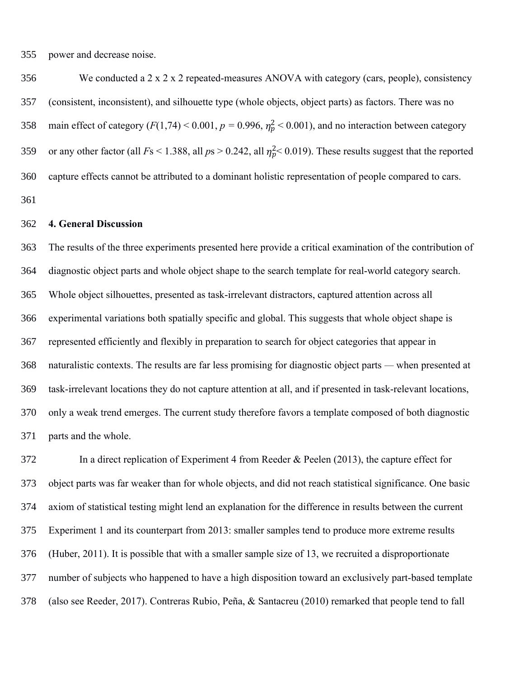power and decrease noise.

 We conducted a 2 x 2 x 2 repeated-measures ANOVA with category (cars, people), consistency (consistent, inconsistent), and silhouette type (whole objects, object parts) as factors. There was no 358 main effect of category  $(F(1,74) < 0.001, p = 0.996, \eta_p^2 < 0.001)$ , and no interaction between category 359 or any other factor (all  $Fs < 1.388$ , all  $ps > 0.242$ , all  $\eta_p^2 < 0.019$ ). These results suggest that the reported capture effects cannot be attributed to a dominant holistic representation of people compared to cars. 

#### **4. General Discussion**

 The results of the three experiments presented here provide a critical examination of the contribution of diagnostic object parts and whole object shape to the search template for real-world category search. Whole object silhouettes, presented as task-irrelevant distractors, captured attention across all experimental variations both spatially specific and global. This suggests that whole object shape is represented efficiently and flexibly in preparation to search for object categories that appear in naturalistic contexts. The results are far less promising for diagnostic object parts *—* when presented at task-irrelevant locations they do not capture attention at all, and if presented in task-relevant locations, only a weak trend emerges. The current study therefore favors a template composed of both diagnostic parts and the whole.

 In a direct replication of Experiment 4 from Reeder & Peelen (2013), the capture effect for object parts was far weaker than for whole objects, and did not reach statistical significance. One basic axiom of statistical testing might lend an explanation for the difference in results between the current Experiment 1 and its counterpart from 2013: smaller samples tend to produce more extreme results (Huber, 2011). It is possible that with a smaller sample size of 13, we recruited a disproportionate number of subjects who happened to have a high disposition toward an exclusively part-based template (also see Reeder, 2017). Contreras Rubio, Peña, & Santacreu (2010) remarked that people tend to fall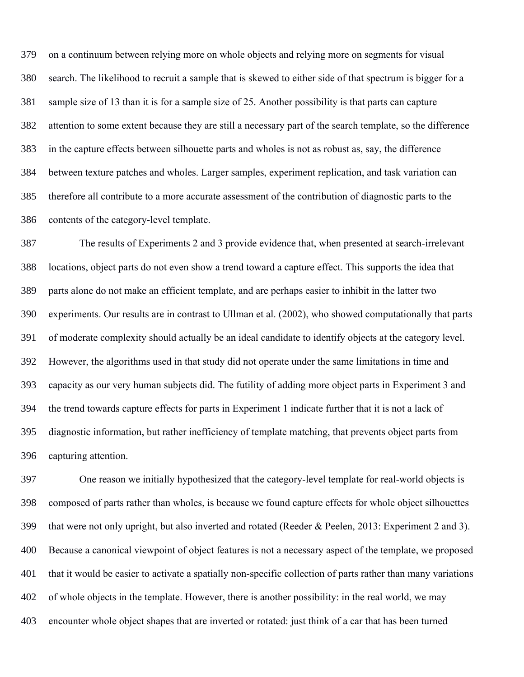on a continuum between relying more on whole objects and relying more on segments for visual search. The likelihood to recruit a sample that is skewed to either side of that spectrum is bigger for a sample size of 13 than it is for a sample size of 25. Another possibility is that parts can capture attention to some extent because they are still a necessary part of the search template, so the difference in the capture effects between silhouette parts and wholes is not as robust as, say, the difference between texture patches and wholes. Larger samples, experiment replication, and task variation can therefore all contribute to a more accurate assessment of the contribution of diagnostic parts to the contents of the category-level template.

 The results of Experiments 2 and 3 provide evidence that, when presented at search-irrelevant locations, object parts do not even show a trend toward a capture effect. This supports the idea that parts alone do not make an efficient template, and are perhaps easier to inhibit in the latter two experiments. Our results are in contrast to Ullman et al. (2002), who showed computationally that parts of moderate complexity should actually be an ideal candidate to identify objects at the category level. However, the algorithms used in that study did not operate under the same limitations in time and capacity as our very human subjects did. The futility of adding more object parts in Experiment 3 and the trend towards capture effects for parts in Experiment 1 indicate further that it is not a lack of diagnostic information, but rather inefficiency of template matching, that prevents object parts from capturing attention.

 One reason we initially hypothesized that the category-level template for real-world objects is composed of parts rather than wholes, is because we found capture effects for whole object silhouettes that were not only upright, but also inverted and rotated (Reeder & Peelen, 2013: Experiment 2 and 3). Because a canonical viewpoint of object features is not a necessary aspect of the template, we proposed that it would be easier to activate a spatially non-specific collection of parts rather than many variations of whole objects in the template. However, there is another possibility: in the real world, we may encounter whole object shapes that are inverted or rotated: just think of a car that has been turned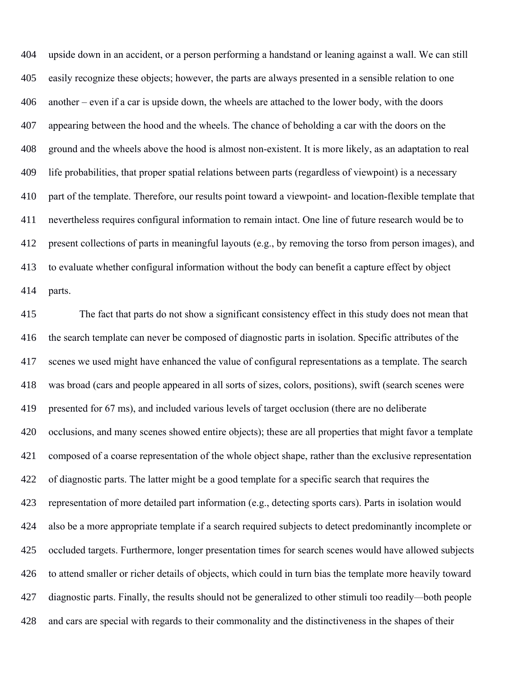upside down in an accident, or a person performing a handstand or leaning against a wall. We can still easily recognize these objects; however, the parts are always presented in a sensible relation to one another – even if a car is upside down, the wheels are attached to the lower body, with the doors appearing between the hood and the wheels. The chance of beholding a car with the doors on the ground and the wheels above the hood is almost non-existent. It is more likely, as an adaptation to real life probabilities, that proper spatial relations between parts (regardless of viewpoint) is a necessary part of the template. Therefore, our results point toward a viewpoint- and location-flexible template that nevertheless requires configural information to remain intact. One line of future research would be to present collections of parts in meaningful layouts (e.g., by removing the torso from person images), and to evaluate whether configural information without the body can benefit a capture effect by object parts.

 The fact that parts do not show a significant consistency effect in this study does not mean that the search template can never be composed of diagnostic parts in isolation. Specific attributes of the scenes we used might have enhanced the value of configural representations as a template. The search was broad (cars and people appeared in all sorts of sizes, colors, positions), swift (search scenes were presented for 67 ms), and included various levels of target occlusion (there are no deliberate occlusions, and many scenes showed entire objects); these are all properties that might favor a template composed of a coarse representation of the whole object shape, rather than the exclusive representation of diagnostic parts. The latter might be a good template for a specific search that requires the representation of more detailed part information (e.g., detecting sports cars). Parts in isolation would also be a more appropriate template if a search required subjects to detect predominantly incomplete or occluded targets. Furthermore, longer presentation times for search scenes would have allowed subjects to attend smaller or richer details of objects, which could in turn bias the template more heavily toward diagnostic parts. Finally, the results should not be generalized to other stimuli too readily*—*both people and cars are special with regards to their commonality and the distinctiveness in the shapes of their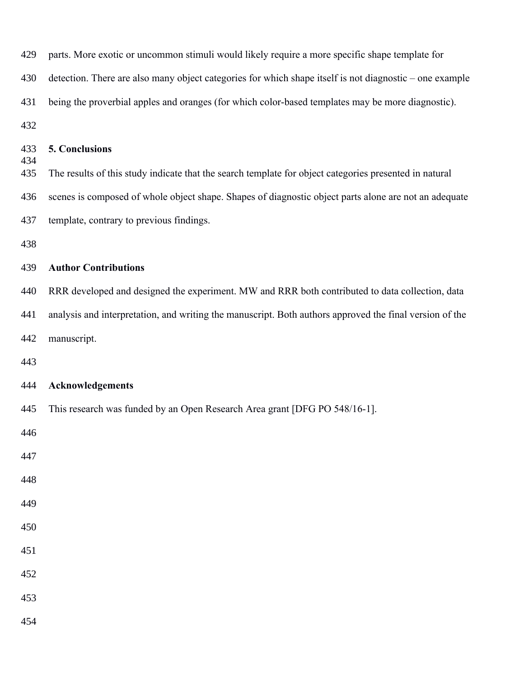| 429        | parts. More exotic or uncommon stimuli would likely require a more specific shape template for          |
|------------|---------------------------------------------------------------------------------------------------------|
| 430        | detection. There are also many object categories for which shape itself is not diagnostic - one example |
| 431        | being the proverbial apples and oranges (for which color-based templates may be more diagnostic).       |
| 432        |                                                                                                         |
| 433<br>434 | 5. Conclusions                                                                                          |
| 435        | The results of this study indicate that the search template for object categories presented in natural  |
| 436        | scenes is composed of whole object shape. Shapes of diagnostic object parts alone are not an adequate   |
| 437        | template, contrary to previous findings.                                                                |
| 438        |                                                                                                         |
| 439        | <b>Author Contributions</b>                                                                             |
| 440        | RRR developed and designed the experiment. MW and RRR both contributed to data collection, data         |
| 441        | analysis and interpretation, and writing the manuscript. Both authors approved the final version of the |
| 442        | manuscript.                                                                                             |
| 443        |                                                                                                         |
| 444        | Acknowledgements                                                                                        |
| 445        | This research was funded by an Open Research Area grant [DFG PO 548/16-1].                              |
| 446        |                                                                                                         |
| 447        |                                                                                                         |
| 448        |                                                                                                         |
| 449        |                                                                                                         |
| 450        |                                                                                                         |
| 451        |                                                                                                         |
| 452        |                                                                                                         |
| 453        |                                                                                                         |
| 454        |                                                                                                         |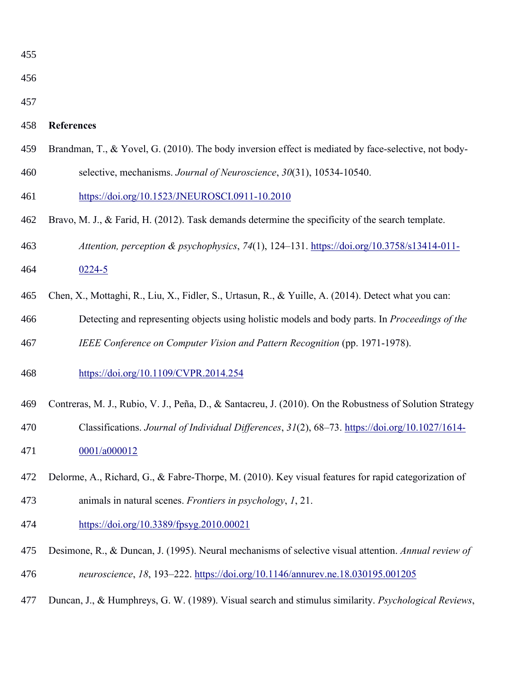| $\overline{\Lambda}$<br>47.<br>i<br>I |  |
|---------------------------------------|--|
|                                       |  |

- 
- 

# **References**

- Brandman, T., & Yovel, G. (2010). The body inversion effect is mediated by face-selective, not body-
- selective, mechanisms. *Journal of Neuroscience*, *30*(31), 10534-10540.
- https://doi.org/10.1523/JNEUROSCI.0911-10.2010
- Bravo, M. J., & Farid, H. (2012). Task demands determine the specificity of the search template.
- *Attention, perception & psychophysics*, *74*(1), 124–131. https://doi.org/10.3758/s13414-011-
- 0224-5
- Chen, X., Mottaghi, R., Liu, X., Fidler, S., Urtasun, R., & Yuille, A. (2014). Detect what you can:
- Detecting and representing objects using holistic models and body parts. In *Proceedings of the*
- *IEEE Conference on Computer Vision and Pattern Recognition* (pp. 1971-1978).
- https://doi.org/10.1109/CVPR.2014.254
- Contreras, M. J., Rubio, V. J., Peña, D., & Santacreu, J. (2010). On the Robustness of Solution Strategy
- Classifications. *Journal of Individual Differences*, *31*(2), 68–73. https://doi.org/10.1027/1614- 0001/a000012
- Delorme, A., Richard, G., & Fabre-Thorpe, M. (2010). Key visual features for rapid categorization of animals in natural scenes. *Frontiers in psychology*, *1*, 21.
- https://doi.org/10.3389/fpsyg.2010.00021
- Desimone, R., & Duncan, J. (1995). Neural mechanisms of selective visual attention. *Annual review of*
- *neuroscience*, *18*, 193–222. https://doi.org/10.1146/annurev.ne.18.030195.001205
- Duncan, J., & Humphreys, G. W. (1989). Visual search and stimulus similarity. *Psychological Reviews*,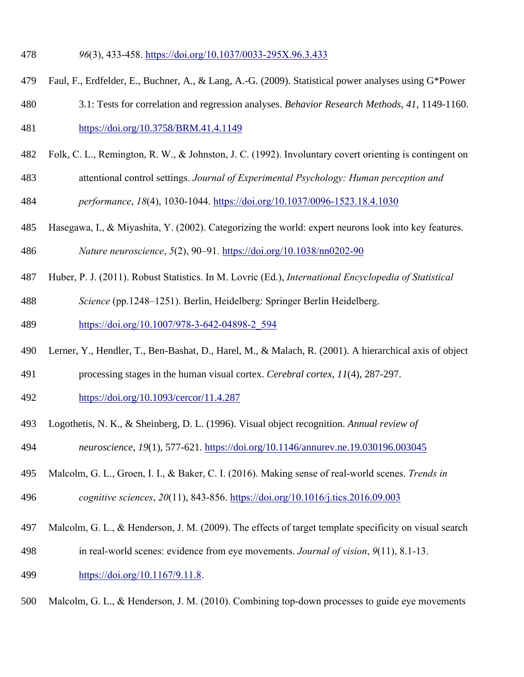- *96*(3), 433-458. https://doi.org/10.1037/0033-295X.96.3.433
- 479 Faul, F., Erdfelder, E., Buchner, A., & Lang, A.-G. (2009). Statistical power analyses using G\*Power
- 480 3.1: Tests for correlation and regression analyses. *Behavior Research Methods*, *41*, 1149-1160.
- https://doi.org/10.3758/BRM.41.4.1149
- Folk, C. L., Remington, R. W., & Johnston, J. C. (1992). Involuntary covert orienting is contingent on
- attentional control settings. *Journal of Experimental Psychology: Human perception and*
- *performance*, *18*(4), 1030-1044. https://doi.org/10.1037/0096-1523.18.4.1030
- Hasegawa, I., & Miyashita, Y. (2002). Categorizing the world: expert neurons look into key features.
- *Nature neuroscience*, *5*(2), 90–91. https://doi.org/10.1038/nn0202-90
- Huber, P. J. (2011). Robust Statistics. In M. Lovric (Ed.), *International Encyclopedia of Statistical*
- *Science* (pp.1248–1251). Berlin, Heidelberg: Springer Berlin Heidelberg.
- https://doi.org/10.1007/978-3-642-04898-2\_594
- 490 Lerner, Y., Hendler, T., Ben-Bashat, D., Harel, M., & Malach, R. (2001). A hierarchical axis of object
- 491 processing stages in the human visual cortex. *Cerebral cortex*, *11*(4), 287-297.
- https://doi.org/10.1093/cercor/11.4.287
- 493 Logothetis, N. K., & Sheinberg, D. L. (1996). Visual object recognition. *Annual review of*
- *neuroscience*, *19*(1), 577-621. https://doi.org/10.1146/annurev.ne.19.030196.003045
- Malcolm, G. L., Groen, I. I., & Baker, C. I. (2016). Making sense of real-world scenes. *Trends in*
- *cognitive sciences*, *20*(11), 843-856. https://doi.org/10.1016/j.tics.2016.09.003
- Malcolm, G. L., & Henderson, J. M. (2009). The effects of target template specificity on visual search
- in real-world scenes: evidence from eye movements. *Journal of vision*, *9*(11), 8.1-13.
- https://doi.org/10.1167/9.11.8.
- Malcolm, G. L., & Henderson, J. M. (2010). Combining top-down processes to guide eye movements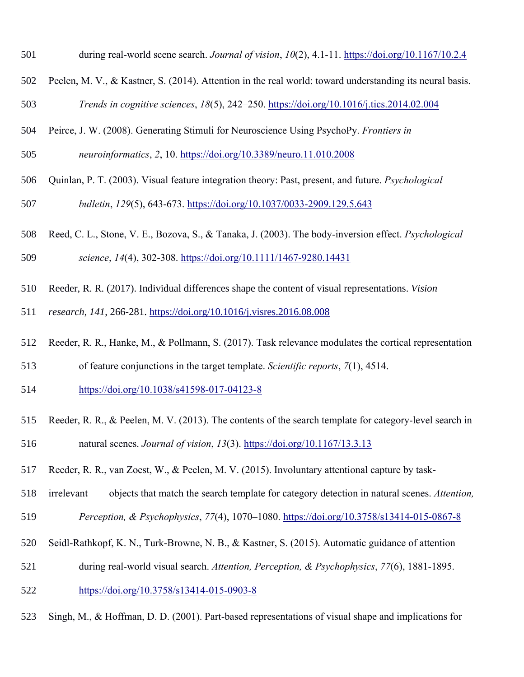- during real-world scene search. *Journal of vision*, *10*(2), 4.1-11. https://doi.org/10.1167/10.2.4
- Peelen, M. V., & Kastner, S. (2014). Attention in the real world: toward understanding its neural basis.
- *Trends in cognitive sciences*, *18*(5), 242–250. https://doi.org/10.1016/j.tics.2014.02.004
- Peirce, J. W. (2008). Generating Stimuli for Neuroscience Using PsychoPy. *Frontiers in*
- *neuroinformatics*, *2*, 10. https://doi.org/10.3389/neuro.11.010.2008
- Quinlan, P. T. (2003). Visual feature integration theory: Past, present, and future. *Psychological*
- *bulletin*, *129*(5), 643-673. https://doi.org/10.1037/0033-2909.129.5.643
- Reed, C. L., Stone, V. E., Bozova, S., & Tanaka, J. (2003). The body-inversion effect. *Psychological*
- *science*, *14*(4), 302-308. https://doi.org/10.1111/1467-9280.14431
- 510 Reeder, R. R. (2017). Individual differences shape the content of visual representations. *Vision*
- *research*, *141*, 266-281. https://doi.org/10.1016/j.visres.2016.08.008
- Reeder, R. R., Hanke, M., & Pollmann, S. (2017). Task relevance modulates the cortical representation
- of feature conjunctions in the target template. *Scientific reports*, *7*(1), 4514.
- https://doi.org/10.1038/s41598-017-04123-8
- Reeder, R. R., & Peelen, M. V. (2013). The contents of the search template for category-level search in natural scenes. *Journal of vision*, *13*(3). https://doi.org/10.1167/13.3.13
- Reeder, R. R., van Zoest, W., & Peelen, M. V. (2015). Involuntary attentional capture by task-
- irrelevant objects that match the search template for category detection in natural scenes. *Attention, Perception, & Psychophysics*, *77*(4), 1070–1080. https://doi.org/10.3758/s13414-015-0867-8
- Seidl-Rathkopf, K. N., Turk-Browne, N. B., & Kastner, S. (2015). Automatic guidance of attention
- during real-world visual search. *Attention, Perception, & Psychophysics*, *77*(6), 1881-1895.
- https://doi.org/10.3758/s13414-015-0903-8
- Singh, M., & Hoffman, D. D. (2001). Part-based representations of visual shape and implications for